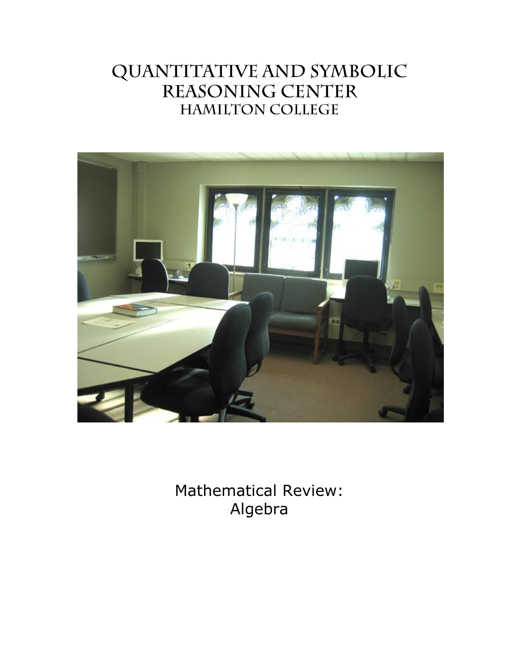# QUANTITATIVE AND SYMBOLIC REASONING CENTER **HAMILTON COLLEGE**



Mathematical Review: Algebra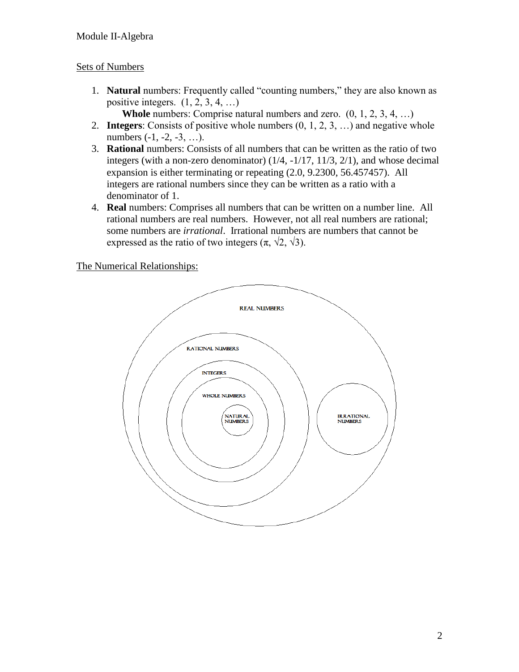# Sets of Numbers

- 1. **Natural** numbers: Frequently called "counting numbers," they are also known as positive integers.  $(1, 2, 3, 4, ...)$ 
	- **Whole** numbers: Comprise natural numbers and zero.  $(0, 1, 2, 3, 4, ...)$
- 2. **Integers**: Consists of positive whole numbers (0, 1, 2, 3, …) and negative whole numbers (-1, -2, -3, ...).
- 3. **Rational** numbers: Consists of all numbers that can be written as the ratio of two integers (with a non-zero denominator) (1/4, -1/17, 11/3, 2/1), and whose decimal expansion is either terminating or repeating (2.0, 9.2300, 56.457457). All integers are rational numbers since they can be written as a ratio with a denominator of 1.
- 4. **Real** numbers: Comprises all numbers that can be written on a number line. All rational numbers are real numbers. However, not all real numbers are rational; some numbers are *irrational*. Irrational numbers are numbers that cannot be expressed as the ratio of two integers  $(\pi, \sqrt{2}, \sqrt{3})$ .

The Numerical Relationships:

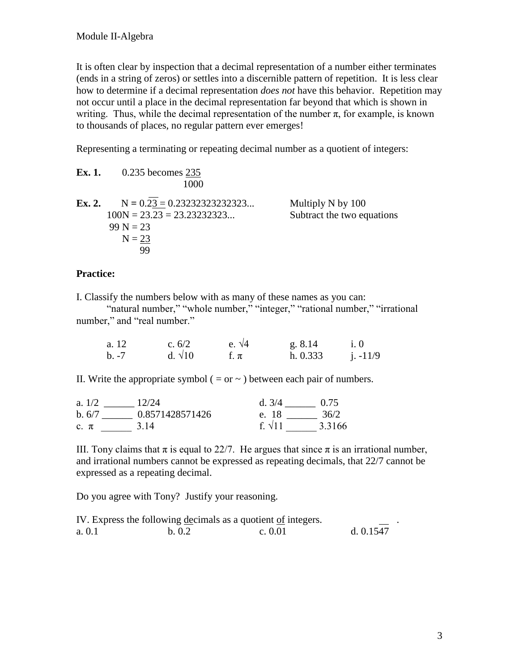It is often clear by inspection that a decimal representation of a number either terminates (ends in a string of zeros) or settles into a discernible pattern of repetition. It is less clear how to determine if a decimal representation *does not* have this behavior. Repetition may not occur until a place in the decimal representation far beyond that which is shown in writing. Thus, while the decimal representation of the number  $\pi$ , for example, is known to thousands of places, no regular pattern ever emerges!

Representing a terminating or repeating decimal number as a quotient of integers:

| Ex. 1. | $0.235$ becomes 235<br>1000                                                                    |                                                 |
|--------|------------------------------------------------------------------------------------------------|-------------------------------------------------|
| Ex. 2. | $N = 0.23 = 0.23232323232323$<br>$100N = 23.23 = 23.23232323$<br>$99 N = 23$<br>$N = 23$<br>99 | Multiply N by 100<br>Subtract the two equations |

## **Practice:**

I. Classify the numbers below with as many of these names as you can:

"natural number," "whole number," "integer," "rational number," "irrational number," and "real number."

| a. 12   | c. $6/2$       | e. $\sqrt{4}$ | g. 8.14  |            |
|---------|----------------|---------------|----------|------------|
| $b. -7$ | d. $\sqrt{10}$ | f. $\pi$      | h. 0.333 | $i. -11/9$ |

II. Write the appropriate symbol ( = or  $\sim$  ) between each pair of numbers.

| a. $1/2$ | 12/24           | d.3/4         | 0.75   |
|----------|-----------------|---------------|--------|
| b.6/7    | 0.8571428571426 | e. 18         | 36/2   |
| $c. \pi$ | 3 14            | f $\sqrt{11}$ | 3.3166 |

III. Tony claims that  $\pi$  is equal to 22/7. He argues that since  $\pi$  is an irrational number, and irrational numbers cannot be expressed as repeating decimals, that 22/7 cannot be expressed as a repeating decimal.

Do you agree with Tony? Justify your reasoning.

|        |        | IV. Express the following decimals as a quotient of integers. | <b>Contract Contract Contract Contract</b> |
|--------|--------|---------------------------------------------------------------|--------------------------------------------|
| a. 0.1 | b. 0.2 | c. $0.01$                                                     | d. $0.1547$                                |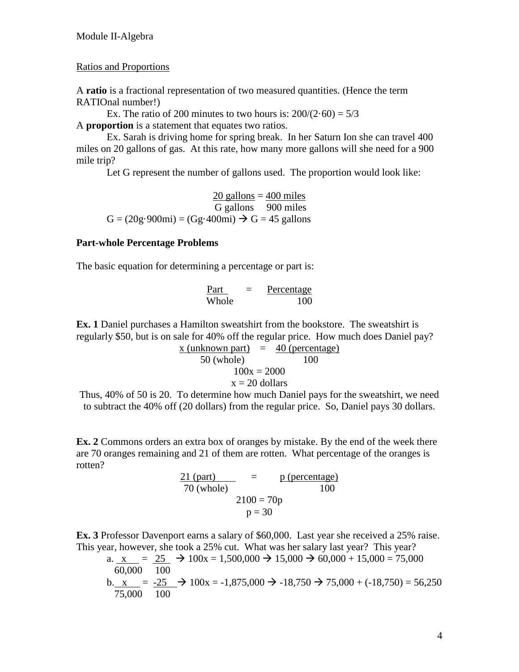#### Ratios and Proportions

A **ratio** is a fractional representation of two measured quantities. (Hence the term RATIOnal number!)

Ex. The ratio of 200 minutes to two hours is:  $200/(2.60) = 5/3$ A **proportion** is a statement that equates two ratios.

Ex. Sarah is driving home for spring break. In her Saturn Ion she can travel 400 miles on 20 gallons of gas. At this rate, how many more gallons will she need for a 900 mile trip?

Let G represent the number of gallons used. The proportion would look like:

 $20$  gallons =  $400$  miles G gallons 900 miles  $G = (20g.900mi) = (Gg.400mi) \rightarrow G = 45$  gallons

#### **Part-whole Percentage Problems**

The basic equation for determining a percentage or part is:

| Part  | Percentage |
|-------|------------|
| Whole | 100        |

**Ex. 1** Daniel purchases a Hamilton sweatshirt from the bookstore. The sweatshirt is regularly \$50, but is on sale for 40% off the regular price. How much does Daniel pay?

$$
\frac{x \text{ (unknown part)}}{50 \text{ (whole)}} = \frac{40 \text{ (percentage)}}{100}
$$
\n
$$
100x = 2000
$$
\n
$$
x = 20 \text{ dollars}
$$

Thus, 40% of 50 is 20. To determine how much Daniel pays for the sweatshirt, we need to subtract the 40% off (20 dollars) from the regular price. So, Daniel pays 30 dollars.

**Ex. 2** Commons orders an extra box of oranges by mistake. By the end of the week there are 70 oranges remaining and 21 of them are rotten. What percentage of the oranges is rotten?

> $21$  (part)  $=$  p (percentage) 70 (whole) 100  $2100 = 70p$  $p = 30$

**Ex. 3** Professor Davenport earns a salary of \$60,000. Last year she received a 25% raise. This year, however, she took a 25% cut. What was her salary last year? This year?

a. 
$$
\frac{x}{60,000} = \frac{25}{100} \rightarrow 100x = 1,500,000 \rightarrow 15,000 \rightarrow 60,000 + 15,000 = 75,000
$$
  
b.  $\frac{x}{75,000} = \frac{-25}{100} \rightarrow 100x = -1,875,000 \rightarrow -18,750 \rightarrow 75,000 + (-18,750) = 56,250$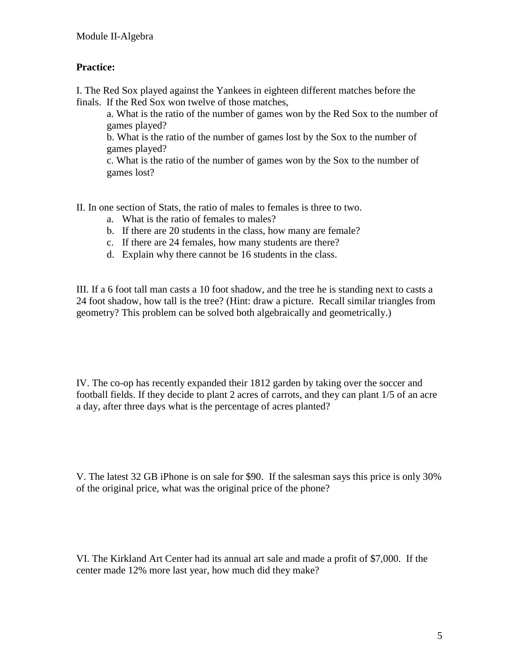# **Practice:**

I. The Red Sox played against the Yankees in eighteen different matches before the finals. If the Red Sox won twelve of those matches,

a. What is the ratio of the number of games won by the Red Sox to the number of games played?

b. What is the ratio of the number of games lost by the Sox to the number of games played?

c. What is the ratio of the number of games won by the Sox to the number of games lost?

II. In one section of Stats, the ratio of males to females is three to two.

- a. What is the ratio of females to males?
- b. If there are 20 students in the class, how many are female?
- c. If there are 24 females, how many students are there?
- d. Explain why there cannot be 16 students in the class.

III. If a 6 foot tall man casts a 10 foot shadow, and the tree he is standing next to casts a 24 foot shadow, how tall is the tree? (Hint: draw a picture. Recall similar triangles from geometry? This problem can be solved both algebraically and geometrically.)

IV. The co-op has recently expanded their 1812 garden by taking over the soccer and football fields. If they decide to plant 2 acres of carrots, and they can plant 1/5 of an acre a day, after three days what is the percentage of acres planted?

V. The latest 32 GB iPhone is on sale for \$90. If the salesman says this price is only 30% of the original price, what was the original price of the phone?

VI. The Kirkland Art Center had its annual art sale and made a profit of \$7,000. If the center made 12% more last year, how much did they make?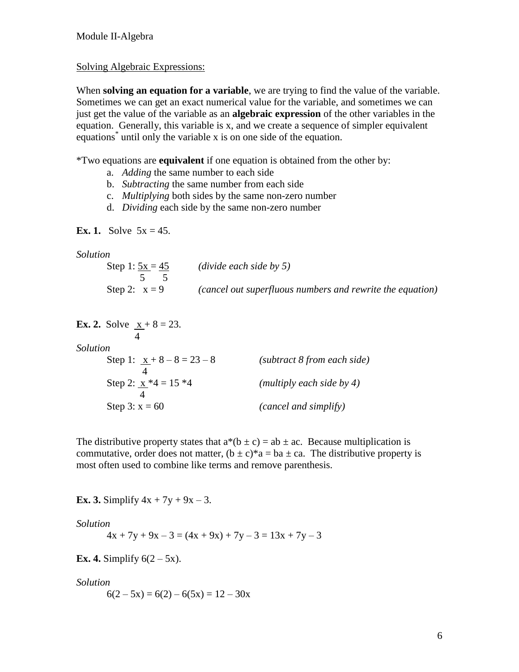#### Solving Algebraic Expressions:

When **solving an equation for a variable**, we are trying to find the value of the variable. Sometimes we can get an exact numerical value for the variable, and sometimes we can just get the value of the variable as an **algebraic expression** of the other variables in the equation. Generally, this variable is x, and we create a sequence of simpler equivalent equations<sup>\*</sup> until only the variable x is on one side of the equation.

\*Two equations are **equivalent** if one equation is obtained from the other by:

- a. *Adding* the same number to each side
- b. *Subtracting* the same number from each side
- c. *Multiplying* both sides by the same non-zero number
- d. *Dividing* each side by the same non-zero number

#### **Ex. 1.** Solve  $5x = 45$ .

*Solution*

| Step 1: $5x = 45$ | (divide each side by 5)                                   |
|-------------------|-----------------------------------------------------------|
| Step 2: $x = 9$   | (cancel out superfluous numbers and rewrite the equation) |
|                   |                                                           |

| <b>Ex. 2.</b> Solve $x + 8 = 23$ . |                             |
|------------------------------------|-----------------------------|
| Solution                           |                             |
| Step 1: $x + 8 - 8 = 23 - 8$       | (subtract 8 from each side) |
| Step 2: $\underline{x} *4 = 15 *4$ | (multiply each side by 4)   |
| Step 3: $x = 60$                   | (cancel and simplify)       |

The distributive property states that  $a^*(b \pm c) = ab \pm ac$ . Because multiplication is commutative, order does not matter,  $(b \pm c)^* a = ba \pm ca$ . The distributive property is most often used to combine like terms and remove parenthesis.

**Ex. 3.** Simplify  $4x + 7y + 9x - 3$ .

*Solution*

 $4x + 7y + 9x - 3 = (4x + 9x) + 7y - 3 = 13x + 7y - 3$ 

**Ex. 4.** Simplify  $6(2-5x)$ .

*Solution*

 $6(2-5x) = 6(2) - 6(5x) = 12 - 30x$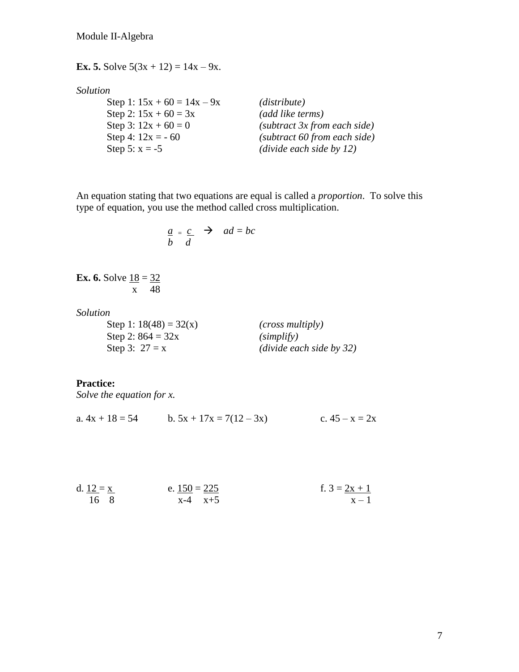**Ex. 5.** Solve  $5(3x + 12) = 14x - 9x$ .

#### *Solution*

Step 1:  $15x + 60 = 14x - 9x$  *(distribute)* Step 2:  $15x + 60 = 3x$  *(add like terms)*<br>Step 3:  $12x + 60 = 0$  *(subtract 3x from*) Step 5:  $x = -5$  *(divide each side by 12)* 

(subtract 3x from each side) Step 4: 12x = - 60 *(subtract 60 from each side)*

An equation stating that two equations are equal is called a *proportion*. To solve this type of equation, you use the method called cross multiplication.

$$
\frac{a}{b} = \frac{c}{d} \quad \Rightarrow \quad ad = bc
$$

**Ex. 6.** Solve  $18 = 32$ x 48

*Solution*

Step 1:  $18(48) = 32(x)$  *(cross multiply)* Step 2:  $864 = 32x$  *(simplify)* 

Step 3: 27 = x *(divide each side by 32)*

#### **Practice:**

*Solve the equation for x.*

a.  $4x + 18 = 54$  b.  $5x + 17x = 7(12 - 3x)$  c.  $45 - x = 2x$ 

| d. $12 = x$ | e. $150 = 225$ | f. $3 = 2x + 1$ |
|-------------|----------------|-----------------|
| 16 8        | $x-4$ $x+5$    | $x - 1$         |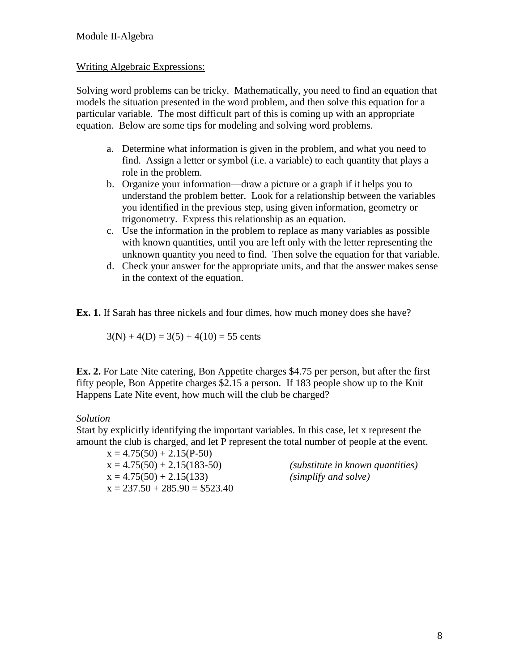## Writing Algebraic Expressions:

Solving word problems can be tricky. Mathematically, you need to find an equation that models the situation presented in the word problem, and then solve this equation for a particular variable. The most difficult part of this is coming up with an appropriate equation. Below are some tips for modeling and solving word problems.

- a. Determine what information is given in the problem, and what you need to find. Assign a letter or symbol (i.e. a variable) to each quantity that plays a role in the problem.
- b. Organize your information—draw a picture or a graph if it helps you to understand the problem better. Look for a relationship between the variables you identified in the previous step, using given information, geometry or trigonometry. Express this relationship as an equation.
- c. Use the information in the problem to replace as many variables as possible with known quantities, until you are left only with the letter representing the unknown quantity you need to find. Then solve the equation for that variable.
- d. Check your answer for the appropriate units, and that the answer makes sense in the context of the equation.

**Ex. 1.** If Sarah has three nickels and four dimes, how much money does she have?

$$
3(N) + 4(D) = 3(5) + 4(10) = 55
$$
 cents

**Ex. 2.** For Late Nite catering, Bon Appetite charges \$4.75 per person, but after the first fifty people, Bon Appetite charges \$2.15 a person. If 183 people show up to the Knit Happens Late Nite event, how much will the club be charged?

# *Solution*

Start by explicitly identifying the important variables. In this case, let x represent the amount the club is charged, and let P represent the total number of people at the event.

 $x = 4.75(50) + 2.15(P-50)$  $x = 4.75(50) + 2.15(133)$  *(simplify and solve)*  $x = 237.50 + 285.90 = $523.40$ 

x = 4.75(50) + 2.15(183-50) *(substitute in known quantities)*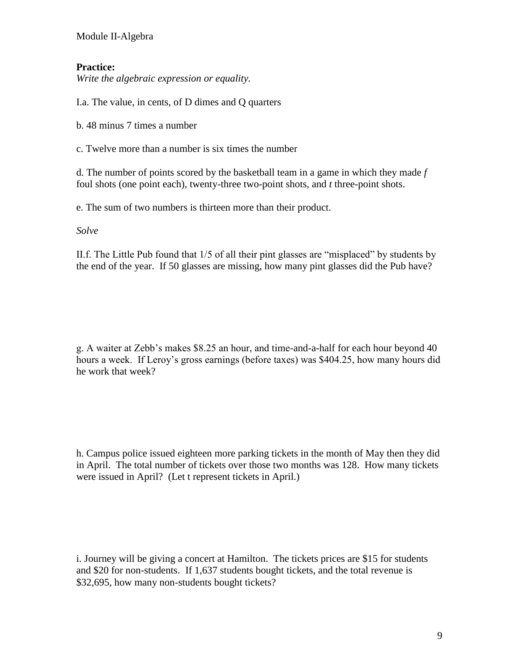Module II-Algebra

# **Practice:**

*Write the algebraic expression or equality.*

I.a. The value, in cents, of D dimes and Q quarters

b. 48 minus 7 times a number

c. Twelve more than a number is six times the number

d. The number of points scored by the basketball team in a game in which they made *f* foul shots (one point each), twenty-three two-point shots, and *t* three-point shots.

e. The sum of two numbers is thirteen more than their product.

*Solve*

II.f. The Little Pub found that 1/5 of all their pint glasses are "misplaced" by students by the end of the year. If 50 glasses are missing, how many pint glasses did the Pub have?

g. A waiter at Zebb's makes \$8.25 an hour, and time-and-a-half for each hour beyond 40 hours a week. If Leroy's gross earnings (before taxes) was \$404.25, how many hours did he work that week?

h. Campus police issued eighteen more parking tickets in the month of May then they did in April. The total number of tickets over those two months was 128. How many tickets were issued in April? (Let t represent tickets in April.)

i. Journey will be giving a concert at Hamilton. The tickets prices are \$15 for students and \$20 for non-students. If 1,637 students bought tickets, and the total revenue is \$32,695, how many non-students bought tickets?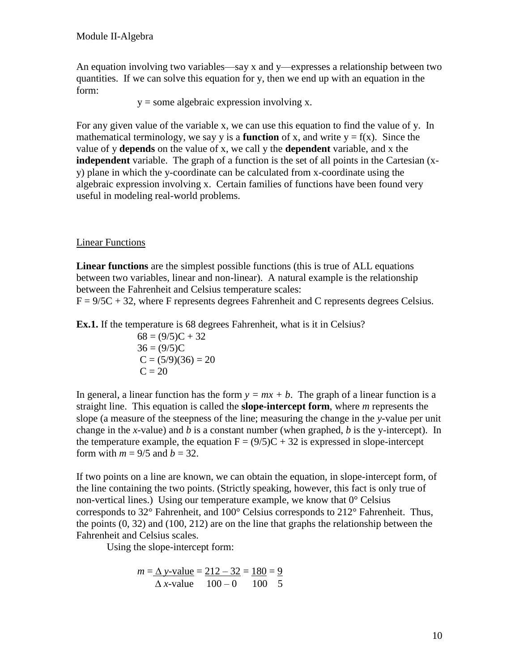An equation involving two variables—say x and y—expresses a relationship between two quantities. If we can solve this equation for y, then we end up with an equation in the form:

 $y =$ some algebraic expression involving x.

For any given value of the variable x, we can use this equation to find the value of y. In mathematical terminology, we say y is a **function** of x, and write  $y = f(x)$ . Since the value of y **depends** on the value of x, we call y the **dependent** variable, and x the **independent** variable. The graph of a function is the set of all points in the Cartesian (xy) plane in which the y-coordinate can be calculated from x-coordinate using the algebraic expression involving x. Certain families of functions have been found very useful in modeling real-world problems.

# Linear Functions

**Linear functions** are the simplest possible functions (this is true of ALL equations between two variables, linear and non-linear). A natural example is the relationship between the Fahrenheit and Celsius temperature scales:

 $F = 9/5C + 32$ , where F represents degrees Fahrenheit and C represents degrees Celsius.

**Ex.1.** If the temperature is 68 degrees Fahrenheit, what is it in Celsius?

 $68 = (9/5)C + 32$  $36 = (9/5)C$  $C = (5/9)(36) = 20$  $C = 20$ 

In general, a linear function has the form  $y = mx + b$ . The graph of a linear function is a straight line. This equation is called the **slope-intercept form**, where *m* represents the slope (a measure of the steepness of the line; measuring the change in the *y*-value per unit change in the *x*-value) and *b* is a constant number (when graphed, *b* is the y-intercept). In the temperature example, the equation  $F = (9/5)C + 32$  is expressed in slope-intercept form with  $m = 9/5$  and  $b = 32$ .

If two points on a line are known, we can obtain the equation, in slope-intercept form, of the line containing the two points. (Strictly speaking, however, this fact is only true of non-vertical lines.) Using our temperature example, we know that 0° Celsius corresponds to 32° Fahrenheit, and 100° Celsius corresponds to 212° Fahrenheit. Thus, the points (0, 32) and (100, 212) are on the line that graphs the relationship between the Fahrenheit and Celsius scales.

Using the slope-intercept form:

$$
m = \Delta y - \text{value} = 212 - 32 = 180 = 9
$$
  

$$
\Delta x - \text{value} = 100 - 0 = 100 = 5
$$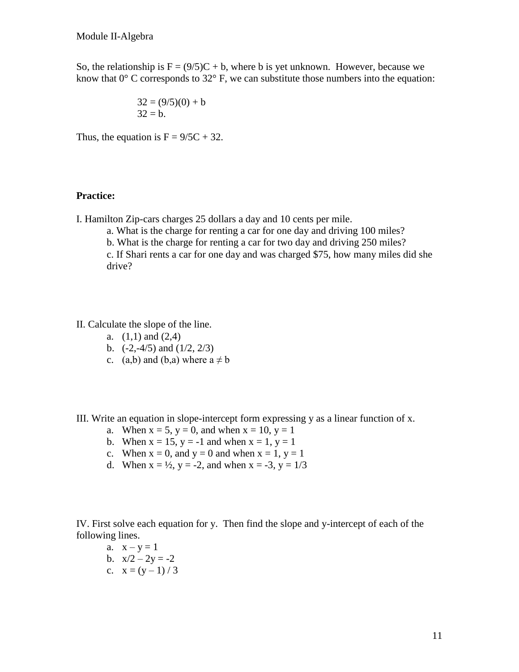So, the relationship is  $F = (9/5)C + b$ , where b is yet unknown. However, because we know that  $0^{\circ}$  C corresponds to  $32^{\circ}$  F, we can substitute those numbers into the equation:

$$
32 = (9/5)(0) + b
$$
  
32 = b.

Thus, the equation is  $F = 9/5C + 32$ .

#### **Practice:**

- I. Hamilton Zip-cars charges 25 dollars a day and 10 cents per mile.
	- a. What is the charge for renting a car for one day and driving 100 miles?
	- b. What is the charge for renting a car for two day and driving 250 miles?

c. If Shari rents a car for one day and was charged \$75, how many miles did she drive?

II. Calculate the slope of the line.

- a.  $(1,1)$  and  $(2,4)$
- b.  $(-2,-4/5)$  and  $(1/2, 2/3)$
- c. (a,b) and (b,a) where  $a \neq b$

III. Write an equation in slope-intercept form expressing y as a linear function of x.

- a. When  $x = 5$ ,  $y = 0$ , and when  $x = 10$ ,  $y = 1$
- b. When  $x = 15$ ,  $y = -1$  and when  $x = 1$ ,  $y = 1$
- c. When  $x = 0$ , and  $y = 0$  and when  $x = 1$ ,  $y = 1$
- d. When  $x = \frac{1}{2}$ ,  $y = -2$ , and when  $x = -3$ ,  $y = \frac{1}{3}$

IV. First solve each equation for y. Then find the slope and y-intercept of each of the following lines.

- a.  $x y = 1$
- b.  $x/2 2y = -2$
- c.  $x = (y 1) / 3$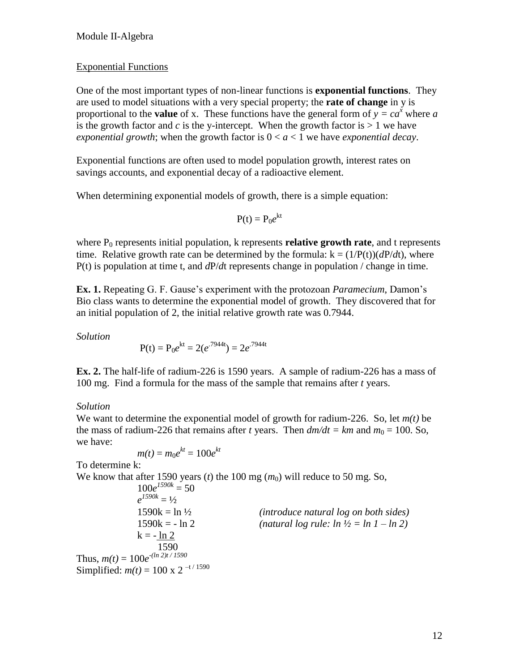## Exponential Functions

One of the most important types of non-linear functions is **exponential functions**. They are used to model situations with a very special property; the **rate of change** in y is proportional to the **value** of x. These functions have the general form of  $y = ca^x$  where *a* is the growth factor and  $c$  is the y-intercept. When the growth factor is  $> 1$  we have *exponential growth*; when the growth factor is  $0 < a < 1$  we have *exponential decay*.

Exponential functions are often used to model population growth, interest rates on savings accounts, and exponential decay of a radioactive element.

When determining exponential models of growth, there is a simple equation:

$$
P(t) = P_0 e^{kt}
$$

where  $P_0$  represents initial population,  $k$  represents **relative growth rate**, and t represents time. Relative growth rate can be determined by the formula:  $k = (1/P(t))(dP/dt)$ , where P(t) is population at time t, and *d*P/*d*t represents change in population / change in time.

**Ex. 1.** Repeating G. F. Gause's experiment with the protozoan *Paramecium*, Damon's Bio class wants to determine the exponential model of growth. They discovered that for an initial population of 2, the initial relative growth rate was 0.7944.

*Solution*

$$
P(t) = P_0 e^{kt} = 2(e^{.7944t}) = 2e^{.7944t}
$$

**Ex. 2.** The half-life of radium-226 is 1590 years. A sample of radium-226 has a mass of 100 mg. Find a formula for the mass of the sample that remains after *t* years.

# *Solution*

We want to determine the exponential model of growth for radium-226. So, let *m(t)* be the mass of radium-226 that remains after *t* years. Then  $dm/dt = km$  and  $m_0 = 100$ . So, we have:

$$
m(t) = m_0 e^{kt} = 100 e^{kt}
$$

To determine k:

We know that after 1590 years (*t*) the 100 mg  $(m_0)$  will reduce to 50 mg. So,

$$
100e^{J590k} = 50
$$
  
\n $e^{J590k} = \frac{1}{2}$   
\n $1590k = \ln \frac{1}{2}$   
\n $1590k = -\ln 2$   
\n $k = -\frac{\ln 2}{1590}$   
\nThus,  $m(t) = 100e^{-(\ln 2)t/1590}$   
\nSimplified:  $m(t) = 100 \times 2^{-t/1590}$ 

1590k = ln ½ *(introduce natural log on both sides)* (*natural log rule: ln*  $\frac{1}{2}$  *= ln 1 – ln 2*)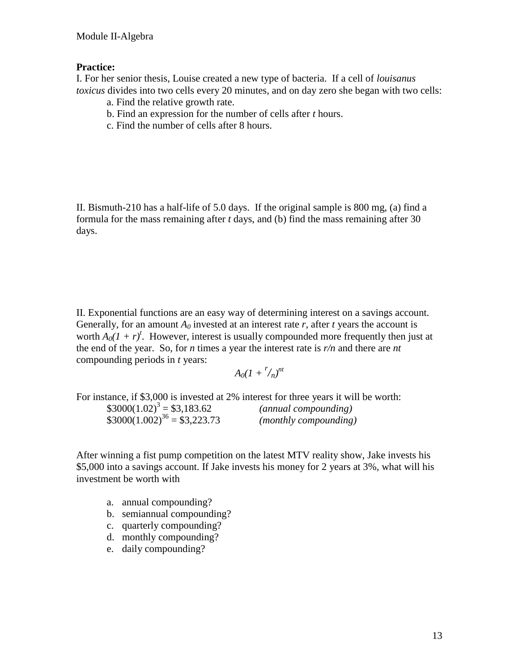## **Practice:**

I. For her senior thesis, Louise created a new type of bacteria. If a cell of *louisanus toxicus* divides into two cells every 20 minutes, and on day zero she began with two cells:

- a. Find the relative growth rate.
- b. Find an expression for the number of cells after *t* hours.
- c. Find the number of cells after 8 hours.

II. Bismuth-210 has a half-life of 5.0 days. If the original sample is 800 mg, (a) find a formula for the mass remaining after *t* days, and (b) find the mass remaining after 30 days.

II. Exponential functions are an easy way of determining interest on a savings account. Generally, for an amount  $A_0$  invested at an interest rate r, after t years the account is worth  $A_0(1 + r)^t$ . However, interest is usually compounded more frequently then just at the end of the year. So, for *n* times a year the interest rate is *r/n* and there are *nt* compounding periods in *t* years:

 $A_0(I + \frac{r}{n})^{nt}$ 

For instance, if \$3,000 is invested at 2% interest for three years it will be worth:  $$3000(1.02)^3 = $3,183.62$  $(annual compounding)$  $$3000(1.002)^{36} = $3,223.73$  *(monthly compounding)* 

After winning a fist pump competition on the latest MTV reality show, Jake invests his \$5,000 into a savings account. If Jake invests his money for 2 years at 3%, what will his investment be worth with

- a. annual compounding?
- b. semiannual compounding?
- c. quarterly compounding?
- d. monthly compounding?
- e. daily compounding?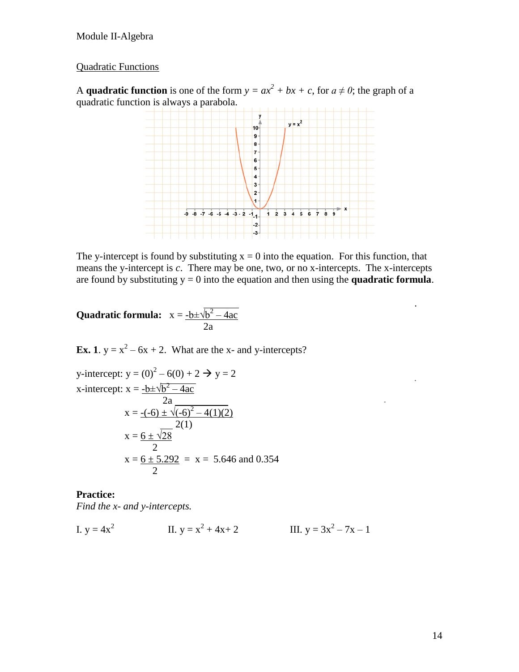# Quadratic Functions

A **quadratic function** is one of the form  $y = ax^2 + bx + c$ , for  $a \neq 0$ ; the graph of a quadratic function is always a parabola.



The y-intercept is found by substituting  $x = 0$  into the equation. For this function, that means the y-intercept is *c*. There may be one, two, or no x-intercepts. The x-intercepts are found by substituting  $y = 0$  into the equation and then using the **quadratic formula**.

<u>. All and the second control of the second control of</u> **Quadratic formula:**  $x = \frac{-b \pm \sqrt{b^2 - 4ac}}{b^2}$ 2a

**Ex. 1**.  $y = x^2 - 6x + 2$ . What are the x- and y-intercepts?

y-intercept: 
$$
y = (0)^2 - 6(0) + 2 \rightarrow y = 2
$$
  
\nx-intercept:  $x = \frac{-b \pm \sqrt{b^2 - 4ac}}{2a}$   
\n $x = \frac{-(-6) \pm \sqrt{(-6)^2 - 4(1)(2)}}{2(1)}$   
\n $x = \frac{6 \pm \sqrt{28}}{2}$   
\n $x = \frac{6 \pm 5.292}{2} = x = 5.646$  and 0.354

#### **Practice:**

*Find the x- and y-intercepts.*

I. 
$$
y = 4x^2
$$
  
II.  $y = x^2 + 4x + 2$   
III.  $y = 3x^2 - 7x - 1$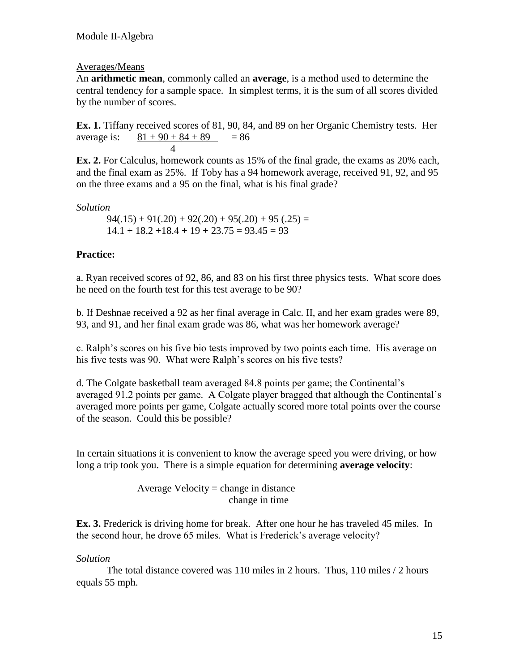## Averages/Means

An **arithmetic mean**, commonly called an **average**, is a method used to determine the central tendency for a sample space. In simplest terms, it is the sum of all scores divided by the number of scores.

**Ex. 1.** Tiffany received scores of 81, 90, 84, and 89 on her Organic Chemistry tests. Her average is:  $81 + 90 + 84 + 89 = 86$ 4

**Ex. 2.** For Calculus, homework counts as 15% of the final grade, the exams as 20% each, and the final exam as 25%. If Toby has a 94 homework average, received 91, 92, and 95 on the three exams and a 95 on the final, what is his final grade?

*Solution*

 $94(.15) + 91(.20) + 92(.20) + 95(.20) + 95(.25) =$  $14.1 + 18.2 + 18.4 + 19 + 23.75 = 93.45 = 93$ 

# **Practice:**

a. Ryan received scores of 92, 86, and 83 on his first three physics tests. What score does he need on the fourth test for this test average to be 90?

b. If Deshnae received a 92 as her final average in Calc. II, and her exam grades were 89, 93, and 91, and her final exam grade was 86, what was her homework average?

c. Ralph's scores on his five bio tests improved by two points each time. His average on his five tests was 90. What were Ralph's scores on his five tests?

d. The Colgate basketball team averaged 84.8 points per game; the Continental's averaged 91.2 points per game. A Colgate player bragged that although the Continental's averaged more points per game, Colgate actually scored more total points over the course of the season. Could this be possible?

In certain situations it is convenient to know the average speed you were driving, or how long a trip took you. There is a simple equation for determining **average velocity**:

> Average Velocity  $=$  change in distance change in time

**Ex. 3.** Frederick is driving home for break. After one hour he has traveled 45 miles. In the second hour, he drove 65 miles. What is Frederick's average velocity?

## *Solution*

The total distance covered was 110 miles in 2 hours. Thus, 110 miles / 2 hours equals 55 mph.